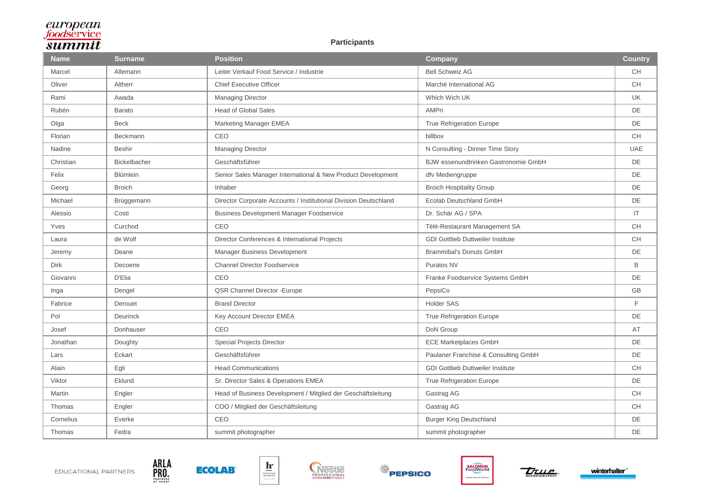#### **Participants**

| <b>Name</b> | <b>Surname</b>      | <b>Position</b>                                                  | <b>Company</b>                           | <b>Country</b> |
|-------------|---------------------|------------------------------------------------------------------|------------------------------------------|----------------|
| Marcel      | Allemann            | Leiter Verkauf Food Service / Industrie                          | <b>Bell Schweiz AG</b>                   | <b>CH</b>      |
| Oliver      | Altherr             | <b>Chief Executive Officer</b>                                   | Marché International AG                  | <b>CH</b>      |
| Rami        | Awada               | <b>Managing Director</b>                                         | Which Wich UK                            | <b>UK</b>      |
| Rubén       | Barato              | <b>Head of Global Sales</b>                                      | AMPri                                    | <b>DE</b>      |
| Olga        | <b>Beck</b>         | Marketing Manager EMEA                                           | True Refrigeration Europe                | DE             |
| Florian     | Beckmann            | CEO                                                              | billbox                                  | <b>CH</b>      |
| Nadine      | <b>Beshir</b>       | <b>Managing Director</b>                                         | N Consulting - Dinner Time Story         | <b>UAE</b>     |
| Christian   | <b>Bickelbacher</b> | Geschäftsführer                                                  | BJW essenundtrinken Gastronomie GmbH     | <b>DE</b>      |
| Felix       | Blümlein            | Senior Sales Manager International & New Product Development     | dfv Mediengruppe                         | DE             |
| Georg       | <b>Broich</b>       | Inhaber                                                          | <b>Broich Hospitality Group</b>          | DE             |
| Michael     | Brüggemann          | Director Corporate Accounts / Institutional Division Deutschland | <b>Ecolab Deutschland GmbH</b>           | DE             |
| Alessio     | Costi               | <b>Business Development Manager Foodservice</b>                  | Dr. Schär AG / SPA                       | IT             |
| Yves        | Curchod             | CEO                                                              | Télé-Restaurant Management SA            | <b>CH</b>      |
| Laura       | de Wolf             | Director Conferences & International Projects                    | <b>GDI Gottlieb Duttweiler Institute</b> | <b>CH</b>      |
| Jeremy      | Deane               | Manager Business Development                                     | <b>Brammibal's Donuts GmbH</b>           | DE             |
| Dirk        | Decoene             | <b>Channel Director Foodservice</b>                              | Puratos NV                               | B              |
| Giovanni    | D'Elia              | CEO                                                              | Franke Foodservice Systems GmbH          | DE             |
| Inga        | Dengel              | QSR Channel Director - Europe                                    | PepsiCo                                  | GB             |
| Fabrice     | Derouet             | <b>Brand Director</b>                                            | <b>Holder SAS</b>                        | F              |
| Pol         | <b>Deurinck</b>     | Key Account Director EMEA                                        | <b>True Refrigeration Europe</b>         | DE             |
| Josef       | Donhauser           | CEO                                                              | DoN Group                                | AT             |
| Jonathan    | Doughty             | <b>Special Projects Director</b>                                 | <b>ECE Marketplaces GmbH</b>             | DE             |
| Lars        | Eckart              | Geschäftsführer                                                  | Paulaner Franchise & Consulting GmbH     | DE             |
| Alain       | Egli                | <b>Head Communications</b>                                       | <b>GDI Gottlieb Duttweiler Institute</b> | <b>CH</b>      |
| Viktor      | Eklund              | Sr. Director Sales & Operations EMEA                             | <b>True Refrigeration Europe</b>         | <b>DE</b>      |
| Martin      | Engler              | Head of Business Development / Mitglied der Geschäftsleitung     | Gastrag AG                               | <b>CH</b>      |
| Thomas      | Engler              | COO / Mitglied der Geschäftsleitung                              | Gastrag AG                               | <b>CH</b>      |
| Cornelius   | Everke              | CEO                                                              | <b>Burger King Deutschland</b>           | DE             |
| Thomas      | Fedra               | summit photographer                                              | summit photographer                      | DE             |





ARLA<br>PRO...



 $\mathbf{h}$ 





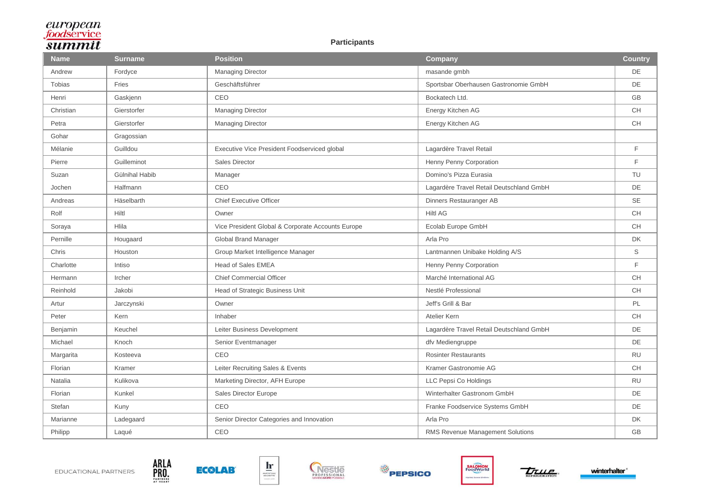#### **Participants**

| <b>Name</b> | <b>Surname</b> | <b>Position</b>                                   | <b>Company</b>                           | <b>Country</b> |
|-------------|----------------|---------------------------------------------------|------------------------------------------|----------------|
| Andrew      | Fordyce        | Managing Director                                 | masande gmbh                             | DE             |
| Tobias      | Fries          | Geschäftsführer                                   | Sportsbar Oberhausen Gastronomie GmbH    | DE             |
| Henri       | Gaskjenn       | CEO                                               | Bockatech Ltd.                           | <b>GB</b>      |
| Christian   | Gierstorfer    | <b>Managing Director</b>                          | Energy Kitchen AG                        | <b>CH</b>      |
| Petra       | Gierstorfer    | Managing Director                                 | Energy Kitchen AG                        | <b>CH</b>      |
| Gohar       | Gragossian     |                                                   |                                          |                |
| Mélanie     | Guilldou       | Executive Vice President Foodserviced global      | Lagardère Travel Retail                  | F              |
| Pierre      | Guilleminot    | Sales Director                                    | Henny Penny Corporation                  | F              |
| Suzan       | Gülnihal Habib | Manager                                           | Domino's Pizza Eurasia                   | TU             |
| Jochen      | Halfmann       | CEO                                               | Lagardère Travel Retail Deutschland GmbH | DE             |
| Andreas     | Häselbarth     | <b>Chief Executive Officer</b>                    | Dinners Restauranger AB                  | <b>SE</b>      |
| Rolf        | Hiltl          | Owner                                             | <b>Hiltl AG</b>                          | <b>CH</b>      |
| Soraya      | Hlila          | Vice President Global & Corporate Accounts Europe | Ecolab Europe GmbH                       | CH             |
| Pernille    | Hougaard       | Global Brand Manager                              | Arla Pro                                 | DK             |
| Chris       | Houston        | Group Market Intelligence Manager                 | Lantmannen Unibake Holding A/S           | S              |
| Charlotte   | Intiso         | Head of Sales EMEA                                | Henny Penny Corporation                  | F              |
| Hermann     | Ircher         | <b>Chief Commercial Officer</b>                   | Marché International AG                  | CH             |
| Reinhold    | Jakobi         | Head of Strategic Business Unit                   | Nestlé Professional                      | <b>CH</b>      |
| Artur       | Jarczynski     | Owner                                             | Jeff's Grill & Bar                       | PL             |
| Peter       | Kern           | Inhaber                                           | Atelier Kern                             | <b>CH</b>      |
| Benjamin    | Keuchel        | Leiter Business Development                       | Lagardère Travel Retail Deutschland GmbH | DE             |
| Michael     | Knoch          | Senior Eventmanager                               | dfv Mediengruppe                         | DE             |
| Margarita   | Kosteeva       | CEO                                               | <b>Rosinter Restaurants</b>              | <b>RU</b>      |
| Florian     | Kramer         | Leiter Recruiting Sales & Events                  | Kramer Gastronomie AG                    | <b>CH</b>      |
| Natalia     | Kulikova       | Marketing Director, AFH Europe                    | LLC Pepsi Co Holdings                    | <b>RU</b>      |
| Florian     | Kunkel         | Sales Director Europe                             | Winterhalter Gastronom GmbH              | DE             |
| Stefan      | Kuny           | CEO                                               | Franke Foodservice Systems GmbH          | DE             |
| Marianne    | Ladegaard      | Senior Director Categories and Innovation         | Arla Pro                                 | DK             |
| Philipp     | Laqué          | CEO                                               | RMS Revenue Management Solutions         | GB             |





ARLA<br>PRO...



 $\mathbf{h}$ 





**THULE** 

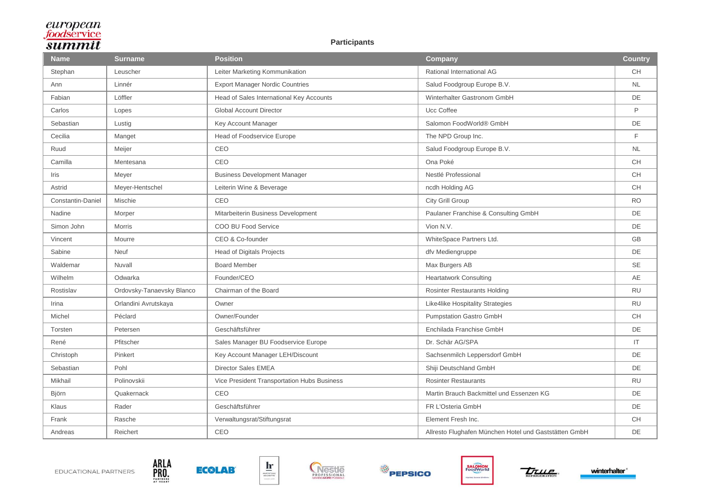#### **Participants**

| <b>Name</b>              | <b>Surname</b>            | <b>Position</b>                             | Company                                               | <b>Country</b> |
|--------------------------|---------------------------|---------------------------------------------|-------------------------------------------------------|----------------|
| Stephan                  | Leuscher                  | Leiter Marketing Kommunikation              | Rational International AG                             | <b>CH</b>      |
| Ann                      | Linnér                    | <b>Export Manager Nordic Countries</b>      | Salud Foodgroup Europe B.V.                           | <b>NL</b>      |
| Fabian                   | Löffler                   | Head of Sales International Key Accounts    | Winterhalter Gastronom GmbH                           | DE             |
| Carlos                   | Lopes                     | <b>Global Account Director</b>              | Ucc Coffee                                            | P              |
| Sebastian                | Lustig                    | Key Account Manager                         | Salomon FoodWorld® GmbH                               | DE             |
| Cecilia                  | Manget                    | Head of Foodservice Europe                  | The NPD Group Inc.                                    | F              |
| Ruud                     | Meijer                    | CEO                                         | Salud Foodgroup Europe B.V.                           | <b>NL</b>      |
| Camilla                  | Mentesana                 | CEO                                         | Ona Poké                                              | <b>CH</b>      |
| Iris                     | Meyer                     | <b>Business Development Manager</b>         | Nestlé Professional                                   | <b>CH</b>      |
| Astrid                   | Meyer-Hentschel           | Leiterin Wine & Beverage                    | ncdh Holding AG                                       | <b>CH</b>      |
| <b>Constantin-Daniel</b> | Mischie                   | CEO                                         | City Grill Group                                      | <b>RO</b>      |
| Nadine                   | Morper                    | Mitarbeiterin Business Development          | Paulaner Franchise & Consulting GmbH                  | DE             |
| Simon John               | <b>Morris</b>             | COO BU Food Service                         | Vion N.V.                                             | DE             |
| Vincent                  | Mourre                    | CEO & Co-founder                            | WhiteSpace Partners Ltd.                              | <b>GB</b>      |
| Sabine                   | <b>Neuf</b>               | <b>Head of Digitals Projects</b>            | dfv Mediengruppe                                      | DE             |
| Waldemar                 | Nuvall                    | <b>Board Member</b>                         | Max Burgers AB                                        | <b>SE</b>      |
| Wilhelm                  | Odwarka                   | Founder/CEO                                 | <b>Heartatwork Consulting</b>                         | AE             |
| Rostislav                | Ordovsky-Tanaevsky Blanco | Chairman of the Board                       | <b>Rosinter Restaurants Holding</b>                   | <b>RU</b>      |
| Irina                    | Orlandini Avrutskaya      | Owner                                       | Like4like Hospitality Strategies                      | <b>RU</b>      |
| Michel                   | Péclard                   | Owner/Founder                               | <b>Pumpstation Gastro GmbH</b>                        | <b>CH</b>      |
| Torsten                  | Petersen                  | Geschäftsführer                             | Enchilada Franchise GmbH                              | <b>DE</b>      |
| René                     | Pfitscher                 | Sales Manager BU Foodservice Europe         | Dr. Schär AG/SPA                                      | IT.            |
| Christoph                | Pinkert                   | Key Account Manager LEH/Discount            | Sachsenmilch Leppersdorf GmbH                         | DE             |
| Sebastian                | Pohl                      | <b>Director Sales EMEA</b>                  | Shiji Deutschland GmbH                                | DE             |
| Mikhail                  | Polinovskii               | Vice President Transportation Hubs Business | <b>Rosinter Restaurants</b>                           | <b>RU</b>      |
| Björn                    | Quakernack                | CEO                                         | Martin Brauch Backmittel und Essenzen KG              | DE             |
| Klaus                    | Rader                     | Geschäftsführer                             | FR L'Osteria GmbH                                     | DE             |
| Frank                    | Rasche                    | Verwaltungsrat/Stiftungsrat                 | Element Fresh Inc.                                    | <b>CH</b>      |
| Andreas                  | Reichert                  | CEO                                         | Allresto Flughafen München Hotel und Gaststätten GmbH | DE             |





ARLA<br>PRO...



 $\mathbf{h}$ 







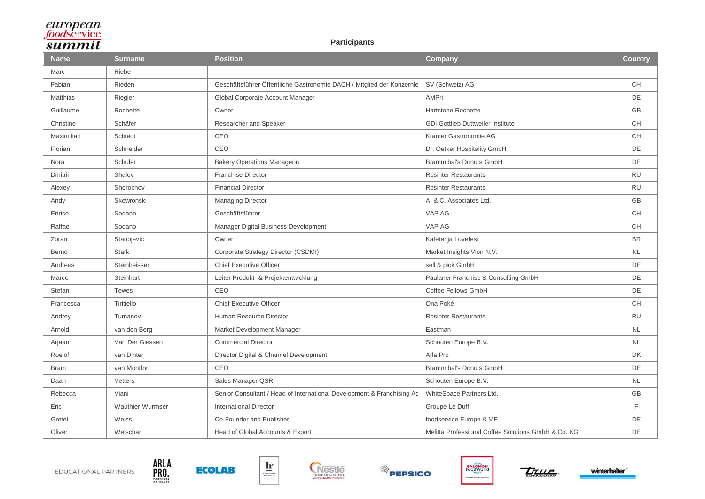#### **Participants**

| <b>Name</b>  | <b>Surname</b>   | <b>Position</b>                                                        | Company                                             | <b>Country</b> |
|--------------|------------------|------------------------------------------------------------------------|-----------------------------------------------------|----------------|
| Marc         | Riebe            |                                                                        |                                                     |                |
| Fabian       | Rieden           | Geschäftsführer Öffentliche Gastronomie DACH / Mitglied der Konzernle  | SV (Schweiz) AG                                     | <b>CH</b>      |
| Matthias     | Riegler          | Global Corporate Account Manager                                       | <b>AMPri</b>                                        | DE             |
| Guillaume    | Rochette         | Owner                                                                  | Hartstone Rochette                                  | <b>GB</b>      |
| Christine    | Schäfer          | Researcher and Speaker                                                 | <b>GDI Gottlieb Duttweiler Institute</b>            | CH             |
| Maximilian   | Schiedt          | CEO                                                                    | Kramer Gastronomie AG                               | CH             |
| Florian      | Schneider        | CEO                                                                    | Dr. Oetker Hospitality GmbH                         | DE             |
| Nora         | Schuler          | <b>Bakery Operations Managerin</b>                                     | <b>Brammibal's Donuts GmbH</b>                      | DE             |
| Dmitrii      | Shalov           | <b>Franchise Director</b>                                              | <b>Rosinter Restaurants</b>                         | <b>RU</b>      |
| Alexey       | Shorokhov        | <b>Financial Director</b>                                              | <b>Rosinter Restaurants</b>                         | <b>RU</b>      |
| Andy         | Skowronski       | <b>Managing Director</b>                                               | A. & C. Associates Ltd.                             | <b>GB</b>      |
| Enrico       | Sodano           | Geschäftsführer                                                        | VAP AG                                              | <b>CH</b>      |
| Raffael      | Sodano           | Manager Digital Business Development                                   | VAP AG                                              | CH             |
| Zoran        | Stanojevic       | Owner                                                                  | Kafeterija Lovefest                                 | <b>BR</b>      |
| <b>Bernd</b> | <b>Stark</b>     | Corporate Strategy Director (CSDMI)                                    | Market Insights Vion N.V.                           | <b>NL</b>      |
| Andreas      | Steinbeisser     | <b>Chief Executive Officer</b>                                         | sell & pick GmbH                                    | DE             |
| Marco        | Steinhart        | Leiter Produkt- & Projektentwicklung                                   | Paulaner Franchise & Consulting GmbH                | DE             |
| Stefan       | <b>Tewes</b>     | CEO                                                                    | Coffee Fellows GmbH                                 | <b>DE</b>      |
| Francesca    | Tiritiello       | <b>Chief Executive Officer</b>                                         | Ona Poké                                            | <b>CH</b>      |
| Andrey       | Tumanov          | Human Resource Director                                                | <b>Rosinter Restaurants</b>                         | <b>RU</b>      |
| Arnold       | van den Berg     | Market Development Manager                                             | Eastman                                             | <b>NL</b>      |
| Arjaan       | Van Der Giessen  | <b>Commercial Director</b>                                             | Schouten Europe B.V.                                | <b>NL</b>      |
| Roelof       | van Dinter       | Director Digital & Channel Development                                 | Arla Pro                                            | <b>DK</b>      |
| <b>Bram</b>  | van Montfort     | CEO                                                                    | <b>Brammibal's Donuts GmbH</b>                      | DE             |
| Daan         | Vetters          | Sales Manager QSR                                                      | Schouten Europe B.V.                                | <b>NL</b>      |
| Rebecca      | Viani            | Senior Consultant / Head of International Development & Franchising Ad | WhiteSpace Partners Ltd.                            | <b>GB</b>      |
| Eric         | Wauthier-Wurmser | <b>International Director</b>                                          | Groupe Le Duff                                      | F              |
| Gretel       | Weiss            | Co-Founder and Publisher                                               | foodservice Europe & ME                             | DE             |
| Oliver       | Welschar         | Head of Global Accounts & Export                                       | Melitta Professional Coffee Solutions GmbH & Co. KG | DE             |





ARLA<br>PRO...











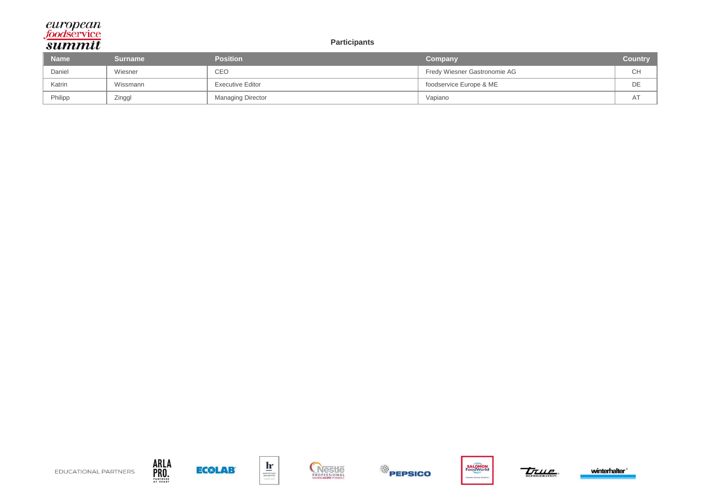#### **Participants**

| <b>Name</b> | Surname  | <b>Position</b>         | Company                      | <b>Country</b> |
|-------------|----------|-------------------------|------------------------------|----------------|
| Daniel      | Wiesner  | <b>CEO</b>              | Fredy Wiesner Gastronomie AG | <b>CH</b>      |
| Katrin      | Wissmann | <b>Executive Editor</b> | foodservice Europe & ME      | DE             |
| Philipp     | Zinggl   | Managing Director       | Vapiano                      | <u>л і</u>     |



ARLA<br>PRO...













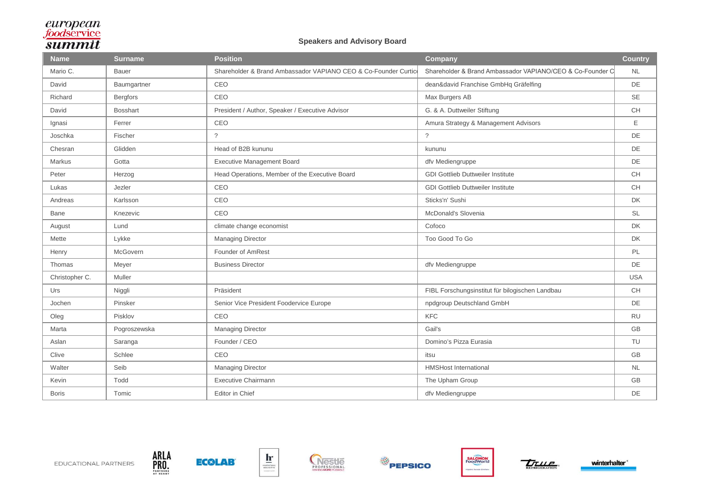#### **Speakers and Advisory Board**

| <b>Name</b>    | <b>Surname</b>  | <b>Position</b>                                                 | <b>Company</b>                                            | <b>Country</b> |
|----------------|-----------------|-----------------------------------------------------------------|-----------------------------------------------------------|----------------|
| Mario C.       | <b>Bauer</b>    | Shareholder & Brand Ambassador VAPIANO CEO & Co-Founder Curtice | Shareholder & Brand Ambassador VAPIANO/CEO & Co-Founder C | <b>NL</b>      |
| David          | Baumgartner     | CEO                                                             | dean&david Franchise GmbHq Gräfelfing                     | DE             |
| Richard        | <b>Bergfors</b> | CEO                                                             | Max Burgers AB                                            | <b>SE</b>      |
| David          | <b>Bosshart</b> | President / Author, Speaker / Executive Advisor                 | G. & A. Duttweiler Stiftung                               | <b>CH</b>      |
| Ignasi         | Ferrer          | CEO                                                             | Amura Strategy & Management Advisors                      | Ε              |
| Joschka        | Fischer         | $\tilde{?}$                                                     | $\tilde{?}$                                               | DE             |
| Chesran        | Glidden         | Head of B2B kununu                                              | kununu                                                    | DE             |
| Markus         | Gotta           | <b>Executive Management Board</b>                               | dfv Mediengruppe                                          | DE             |
| Peter          | Herzog          | Head Operations, Member of the Executive Board                  | <b>GDI Gottlieb Duttweiler Institute</b>                  | <b>CH</b>      |
| Lukas          | Jezler          | CEO                                                             | <b>GDI Gottlieb Duttweiler Institute</b>                  | <b>CH</b>      |
| Andreas        | Karlsson        | CEO                                                             | Sticks'n' Sushi                                           | DK             |
| Bane           | Knezevic        | CEO                                                             | McDonald's Slovenia                                       | <b>SL</b>      |
| August         | Lund            | climate change economist                                        | Cofoco                                                    | <b>DK</b>      |
| Mette          | Lykke           | <b>Managing Director</b>                                        | Too Good To Go                                            | <b>DK</b>      |
| Henry          | McGovern        | Founder of AmRest                                               |                                                           | PL             |
| Thomas         | Meyer           | <b>Business Director</b>                                        | dfv Mediengruppe                                          | <b>DE</b>      |
| Christopher C. | Muller          |                                                                 |                                                           | <b>USA</b>     |
| Urs            | Niggli          | Präsident                                                       | FIBL Forschungsinstitut für bilogischen Landbau           | <b>CH</b>      |
| Jochen         | Pinsker         | Senior Vice President Foodervice Europe                         | npdgroup Deutschland GmbH                                 | DE             |
| Oleg           | Pisklov         | CEO                                                             | <b>KFC</b>                                                | <b>RU</b>      |
| Marta          | Pogroszewska    | <b>Managing Director</b>                                        | Gail's                                                    | <b>GB</b>      |
| Aslan          | Saranga         | Founder / CEO                                                   | Domino's Pizza Eurasia                                    | TU             |
| Clive          | Schlee          | CEO                                                             | itsu                                                      | GB             |
| Walter         | Seib            | <b>Managing Director</b>                                        | <b>HMSHost International</b>                              | <b>NL</b>      |
| Kevin          | Todd            | <b>Executive Chairmann</b>                                      | The Upham Group                                           | <b>GB</b>      |
| <b>Boris</b>   | Tomic           | Editor in Chief                                                 | dfv Mediengruppe                                          | DE             |



ARLA<br>PRO.<br>39000